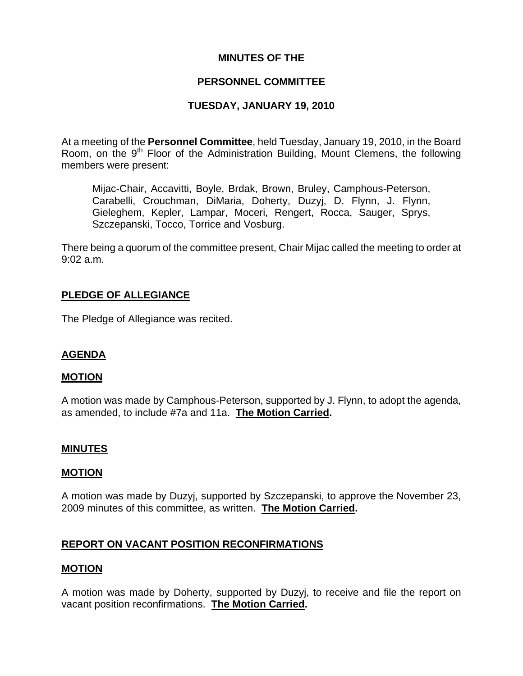### **MINUTES OF THE**

# **PERSONNEL COMMITTEE**

### **TUESDAY, JANUARY 19, 2010**

At a meeting of the **Personnel Committee**, held Tuesday, January 19, 2010, in the Board Room, on the 9<sup>th</sup> Floor of the Administration Building, Mount Clemens, the following members were present:

Mijac-Chair, Accavitti, Boyle, Brdak, Brown, Bruley, Camphous-Peterson, Carabelli, Crouchman, DiMaria, Doherty, Duzyj, D. Flynn, J. Flynn, Gieleghem, Kepler, Lampar, Moceri, Rengert, Rocca, Sauger, Sprys, Szczepanski, Tocco, Torrice and Vosburg.

There being a quorum of the committee present, Chair Mijac called the meeting to order at 9:02 a.m.

# **PLEDGE OF ALLEGIANCE**

The Pledge of Allegiance was recited.

# **AGENDA**

#### **MOTION**

A motion was made by Camphous-Peterson, supported by J. Flynn, to adopt the agenda, as amended, to include #7a and 11a. **The Motion Carried.** 

#### **MINUTES**

#### **MOTION**

A motion was made by Duzyj, supported by Szczepanski, to approve the November 23, 2009 minutes of this committee, as written. **The Motion Carried.** 

# **REPORT ON VACANT POSITION RECONFIRMATIONS**

#### **MOTION**

A motion was made by Doherty, supported by Duzyj, to receive and file the report on vacant position reconfirmations. **The Motion Carried.**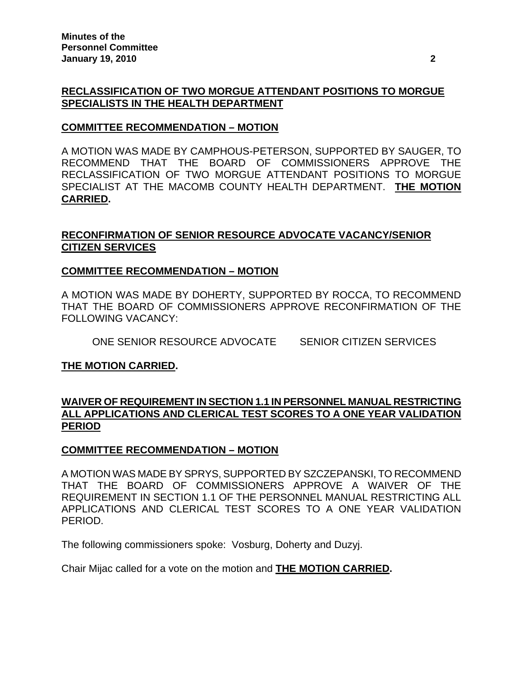# **RECLASSIFICATION OF TWO MORGUE ATTENDANT POSITIONS TO MORGUE SPECIALISTS IN THE HEALTH DEPARTMENT**

### **COMMITTEE RECOMMENDATION – MOTION**

A MOTION WAS MADE BY CAMPHOUS-PETERSON, SUPPORTED BY SAUGER, TO RECOMMEND THAT THE BOARD OF COMMISSIONERS APPROVE THE RECLASSIFICATION OF TWO MORGUE ATTENDANT POSITIONS TO MORGUE SPECIALIST AT THE MACOMB COUNTY HEALTH DEPARTMENT. **THE MOTION CARRIED.** 

# **RECONFIRMATION OF SENIOR RESOURCE ADVOCATE VACANCY/SENIOR CITIZEN SERVICES**

# **COMMITTEE RECOMMENDATION – MOTION**

A MOTION WAS MADE BY DOHERTY, SUPPORTED BY ROCCA, TO RECOMMEND THAT THE BOARD OF COMMISSIONERS APPROVE RECONFIRMATION OF THE FOLLOWING VACANCY:

ONE SENIOR RESOURCE ADVOCATE SENIOR CITIZEN SERVICES

# **THE MOTION CARRIED.**

# **WAIVER OF REQUIREMENT IN SECTION 1.1 IN PERSONNEL MANUAL RESTRICTING ALL APPLICATIONS AND CLERICAL TEST SCORES TO A ONE YEAR VALIDATION PERIOD**

# **COMMITTEE RECOMMENDATION – MOTION**

A MOTION WAS MADE BY SPRYS, SUPPORTED BY SZCZEPANSKI, TO RECOMMEND THAT THE BOARD OF COMMISSIONERS APPROVE A WAIVER OF THE REQUIREMENT IN SECTION 1.1 OF THE PERSONNEL MANUAL RESTRICTING ALL APPLICATIONS AND CLERICAL TEST SCORES TO A ONE YEAR VALIDATION PERIOD.

The following commissioners spoke: Vosburg, Doherty and Duzyj.

Chair Mijac called for a vote on the motion and **THE MOTION CARRIED.**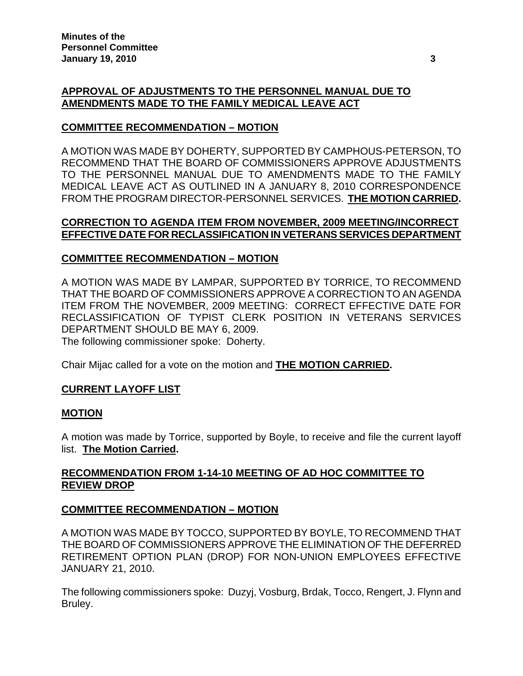# **APPROVAL OF ADJUSTMENTS TO THE PERSONNEL MANUAL DUE TO AMENDMENTS MADE TO THE FAMILY MEDICAL LEAVE ACT**

# **COMMITTEE RECOMMENDATION – MOTION**

A MOTION WAS MADE BY DOHERTY, SUPPORTED BY CAMPHOUS-PETERSON, TO RECOMMEND THAT THE BOARD OF COMMISSIONERS APPROVE ADJUSTMENTS TO THE PERSONNEL MANUAL DUE TO AMENDMENTS MADE TO THE FAMILY MEDICAL LEAVE ACT AS OUTLINED IN A JANUARY 8, 2010 CORRESPONDENCE FROM THE PROGRAM DIRECTOR-PERSONNEL SERVICES. **THE MOTION CARRIED.** 

# **CORRECTION TO AGENDA ITEM FROM NOVEMBER, 2009 MEETING/INCORRECT EFFECTIVE DATE FOR RECLASSIFICATION IN VETERANS SERVICES DEPARTMENT**

# **COMMITTEE RECOMMENDATION – MOTION**

A MOTION WAS MADE BY LAMPAR, SUPPORTED BY TORRICE, TO RECOMMEND THAT THE BOARD OF COMMISSIONERS APPROVE A CORRECTION TO AN AGENDA ITEM FROM THE NOVEMBER, 2009 MEETING: CORRECT EFFECTIVE DATE FOR RECLASSIFICATION OF TYPIST CLERK POSITION IN VETERANS SERVICES DEPARTMENT SHOULD BE MAY 6, 2009.

The following commissioner spoke: Doherty.

Chair Mijac called for a vote on the motion and **THE MOTION CARRIED.**

# **CURRENT LAYOFF LIST**

# **MOTION**

A motion was made by Torrice, supported by Boyle, to receive and file the current layoff list. **The Motion Carried.** 

# **RECOMMENDATION FROM 1-14-10 MEETING OF AD HOC COMMITTEE TO REVIEW DROP**

# **COMMITTEE RECOMMENDATION – MOTION**

A MOTION WAS MADE BY TOCCO, SUPPORTED BY BOYLE, TO RECOMMEND THAT THE BOARD OF COMMISSIONERS APPROVE THE ELIMINATION OF THE DEFERRED RETIREMENT OPTION PLAN (DROP) FOR NON-UNION EMPLOYEES EFFECTIVE JANUARY 21, 2010.

The following commissioners spoke: Duzyj, Vosburg, Brdak, Tocco, Rengert, J. Flynn and Bruley.